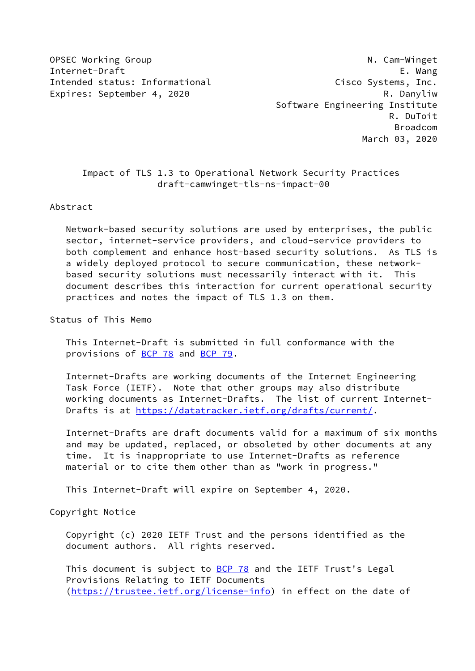Internet-Draft E. Wang Intended status: Informational Cisco Systems, Inc. Expires: September 4, 2020 R. Danyliw

OPSEC Working Group and Communication of the N. Cam-Winget Software Engineering Institute R. DuToit Broadcom March 03, 2020

# Impact of TLS 1.3 to Operational Network Security Practices draft-camwinget-tls-ns-impact-00

### Abstract

 Network-based security solutions are used by enterprises, the public sector, internet-service providers, and cloud-service providers to both complement and enhance host-based security solutions. As TLS is a widely deployed protocol to secure communication, these network based security solutions must necessarily interact with it. This document describes this interaction for current operational security practices and notes the impact of TLS 1.3 on them.

Status of This Memo

 This Internet-Draft is submitted in full conformance with the provisions of [BCP 78](https://datatracker.ietf.org/doc/pdf/bcp78) and [BCP 79](https://datatracker.ietf.org/doc/pdf/bcp79).

 Internet-Drafts are working documents of the Internet Engineering Task Force (IETF). Note that other groups may also distribute working documents as Internet-Drafts. The list of current Internet- Drafts is at<https://datatracker.ietf.org/drafts/current/>.

 Internet-Drafts are draft documents valid for a maximum of six months and may be updated, replaced, or obsoleted by other documents at any time. It is inappropriate to use Internet-Drafts as reference material or to cite them other than as "work in progress."

This Internet-Draft will expire on September 4, 2020.

Copyright Notice

 Copyright (c) 2020 IETF Trust and the persons identified as the document authors. All rights reserved.

This document is subject to **[BCP 78](https://datatracker.ietf.org/doc/pdf/bcp78)** and the IETF Trust's Legal Provisions Relating to IETF Documents [\(https://trustee.ietf.org/license-info](https://trustee.ietf.org/license-info)) in effect on the date of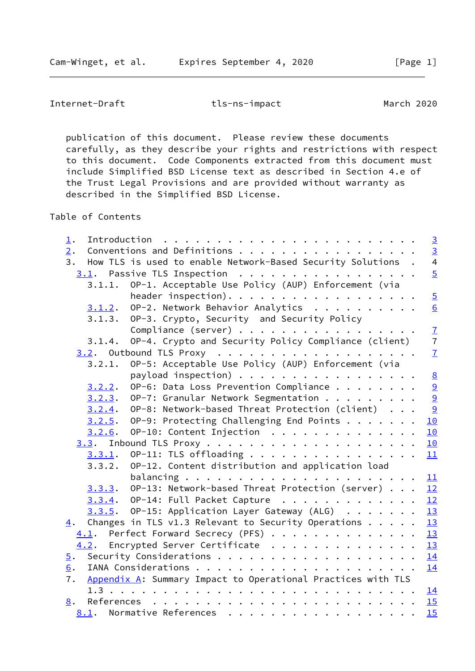publication of this document. Please review these documents carefully, as they describe your rights and restrictions with respect to this document. Code Components extracted from this document must include Simplified BSD License text as described in Section 4.e of the Trust Legal Provisions and are provided without warranty as described in the Simplified BSD License.

Table of Contents

| $\perp$ .                                                          | $\overline{3}$            |
|--------------------------------------------------------------------|---------------------------|
| Conventions and Definitions<br>2.                                  | $\frac{3}{4}$             |
| 3.<br>How TLS is used to enable Network-Based Security Solutions . |                           |
| 3.1. Passive TLS Inspection                                        | $\overline{5}$            |
| OP-1. Acceptable Use Policy (AUP) Enforcement (via<br>3.1.1.       |                           |
| header inspection).                                                | $\overline{5}$            |
| OP-2. Network Behavior Analytics<br>3.1.2.                         | 6                         |
| OP-3. Crypto, Security and Security Policy<br>3.1.3.               |                           |
| Compliance (server)                                                | $\underline{\mathcal{I}}$ |
| OP-4. Crypto and Security Policy Compliance (client)<br>3.1.4.     | $\overline{7}$            |
|                                                                    | $\mathbf{Z}$              |
| OP-5: Acceptable Use Policy (AUP) Enforcement (via<br>3.2.1.       |                           |
| payload inspection) $\cdots$                                       |                           |
| OP-6: Data Loss Prevention Compliance<br>3.2.2.                    | 8<br>0<br>0<br>0          |
| OP-7: Granular Network Segmentation<br>3.2.3.                      |                           |
| OP-8: Network-based Threat Protection (client)<br>3.2.4.           | 9                         |
| OP-9: Protecting Challenging End Points<br>3.2.5.                  | 10                        |
| OP-10: Content Injection<br>3.2.6.                                 | 10                        |
|                                                                    | 10                        |
| OP-11: TLS offloading<br>3.3.1.                                    | 11                        |
| OP-12. Content distribution and application load<br>3.3.2.         |                           |
|                                                                    | 11                        |
| OP-13: Network-based Threat Protection (server)<br>3.3.3.          | 12                        |
| 3.3.4. OP-14: Full Packet Capture                                  | 12                        |
| $3.3.5$ . OP-15: Application Layer Gateway (ALG) 13                |                           |
| Changes in TLS v1.3 Relevant to Security Operations<br>4.          | 13                        |
| 4.1. Perfect Forward Secrecy (PFS)                                 | 13                        |
| 4.2. Encrypted Server Certificate                                  | 13                        |
| $\overline{5}$ .                                                   |                           |
| 6.                                                                 | 14<br>14                  |
| Appendix A: Summary Impact to Operational Practices with TLS<br>7. |                           |
|                                                                    |                           |
|                                                                    |                           |
| 8.                                                                 |                           |
| 8.1. Normative References                                          | 15                        |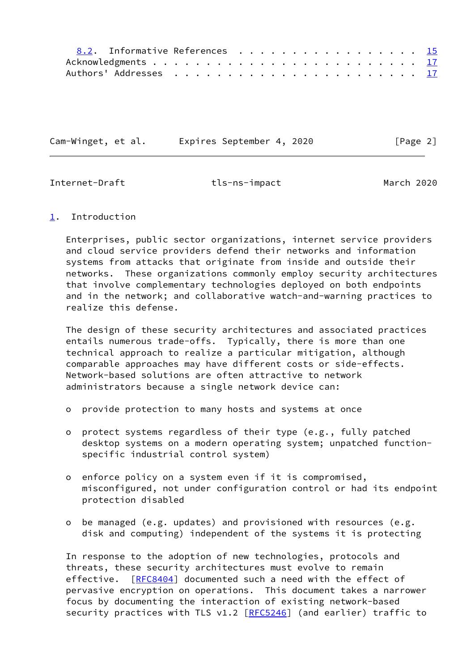| 8.2. Informative References 15 |  |  |  |  |
|--------------------------------|--|--|--|--|
|                                |  |  |  |  |
|                                |  |  |  |  |

Cam-Winget, et al. Expires September 4, 2020 [Page 2]

<span id="page-2-1"></span>

Internet-Draft tls-ns-impact March 2020

# <span id="page-2-0"></span>[1](#page-2-0). Introduction

 Enterprises, public sector organizations, internet service providers and cloud service providers defend their networks and information systems from attacks that originate from inside and outside their networks. These organizations commonly employ security architectures that involve complementary technologies deployed on both endpoints and in the network; and collaborative watch-and-warning practices to realize this defense.

 The design of these security architectures and associated practices entails numerous trade-offs. Typically, there is more than one technical approach to realize a particular mitigation, although comparable approaches may have different costs or side-effects. Network-based solutions are often attractive to network administrators because a single network device can:

- o provide protection to many hosts and systems at once
- o protect systems regardless of their type (e.g., fully patched desktop systems on a modern operating system; unpatched function specific industrial control system)
- o enforce policy on a system even if it is compromised, misconfigured, not under configuration control or had its endpoint protection disabled
- o be managed (e.g. updates) and provisioned with resources (e.g. disk and computing) independent of the systems it is protecting

 In response to the adoption of new technologies, protocols and threats, these security architectures must evolve to remain effective. [\[RFC8404](https://datatracker.ietf.org/doc/pdf/rfc8404)] documented such a need with the effect of pervasive encryption on operations. This document takes a narrower focus by documenting the interaction of existing network-based security practices with TLS v1.2 [\[RFC5246](https://datatracker.ietf.org/doc/pdf/rfc5246)] (and earlier) traffic to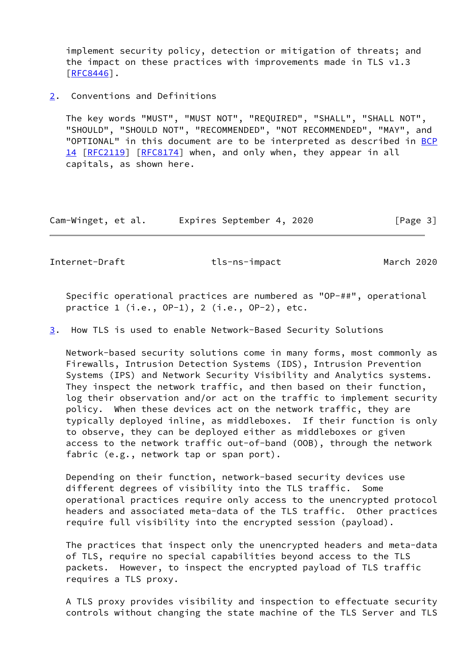implement security policy, detection or mitigation of threats; and the impact on these practices with improvements made in TLS v1.3 [\[RFC8446](https://datatracker.ietf.org/doc/pdf/rfc8446)].

<span id="page-3-0"></span>[2](#page-3-0). Conventions and Definitions

 The key words "MUST", "MUST NOT", "REQUIRED", "SHALL", "SHALL NOT", "SHOULD", "SHOULD NOT", "RECOMMENDED", "NOT RECOMMENDED", "MAY", and "OPTIONAL" in this document are to be interpreted as described in [BCP](https://datatracker.ietf.org/doc/pdf/bcp14) [14](https://datatracker.ietf.org/doc/pdf/bcp14) [[RFC2119\]](https://datatracker.ietf.org/doc/pdf/rfc2119) [\[RFC8174](https://datatracker.ietf.org/doc/pdf/rfc8174)] when, and only when, they appear in all capitals, as shown here.

Cam-Winget, et al. Expires September 4, 2020 [Page 3]

Internet-Draft tls-ns-impact March 2020

 Specific operational practices are numbered as "OP-##", operational practice 1 (i.e., OP-1), 2 (i.e., OP-2), etc.

<span id="page-3-1"></span>[3](#page-3-1). How TLS is used to enable Network-Based Security Solutions

 Network-based security solutions come in many forms, most commonly as Firewalls, Intrusion Detection Systems (IDS), Intrusion Prevention Systems (IPS) and Network Security Visibility and Analytics systems. They inspect the network traffic, and then based on their function, log their observation and/or act on the traffic to implement security policy. When these devices act on the network traffic, they are typically deployed inline, as middleboxes. If their function is only to observe, they can be deployed either as middleboxes or given access to the network traffic out-of-band (OOB), through the network fabric (e.g., network tap or span port).

 Depending on their function, network-based security devices use different degrees of visibility into the TLS traffic. Some operational practices require only access to the unencrypted protocol headers and associated meta-data of the TLS traffic. Other practices require full visibility into the encrypted session (payload).

 The practices that inspect only the unencrypted headers and meta-data of TLS, require no special capabilities beyond access to the TLS packets. However, to inspect the encrypted payload of TLS traffic requires a TLS proxy.

 A TLS proxy provides visibility and inspection to effectuate security controls without changing the state machine of the TLS Server and TLS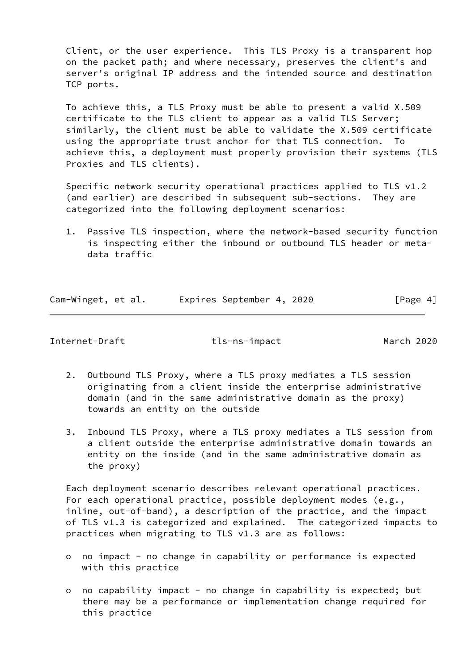Client, or the user experience. This TLS Proxy is a transparent hop on the packet path; and where necessary, preserves the client's and server's original IP address and the intended source and destination TCP ports.

 To achieve this, a TLS Proxy must be able to present a valid X.509 certificate to the TLS client to appear as a valid TLS Server; similarly, the client must be able to validate the X.509 certificate using the appropriate trust anchor for that TLS connection. To achieve this, a deployment must properly provision their systems (TLS Proxies and TLS clients).

 Specific network security operational practices applied to TLS v1.2 (and earlier) are described in subsequent sub-sections. They are categorized into the following deployment scenarios:

 1. Passive TLS inspection, where the network-based security function is inspecting either the inbound or outbound TLS header or meta data traffic

| Cam-Winget, et al. |  | Expires September 4, 2020 |  | [Page 4] |  |
|--------------------|--|---------------------------|--|----------|--|
|                    |  |                           |  |          |  |

<span id="page-4-0"></span>Internet-Draft tls-ns-impact March 2020

- 2. Outbound TLS Proxy, where a TLS proxy mediates a TLS session originating from a client inside the enterprise administrative domain (and in the same administrative domain as the proxy) towards an entity on the outside
- 3. Inbound TLS Proxy, where a TLS proxy mediates a TLS session from a client outside the enterprise administrative domain towards an entity on the inside (and in the same administrative domain as the proxy)

 Each deployment scenario describes relevant operational practices. For each operational practice, possible deployment modes (e.g., inline, out-of-band), a description of the practice, and the impact of TLS v1.3 is categorized and explained. The categorized impacts to practices when migrating to TLS v1.3 are as follows:

- o no impact no change in capability or performance is expected with this practice
- o no capability impact no change in capability is expected; but there may be a performance or implementation change required for this practice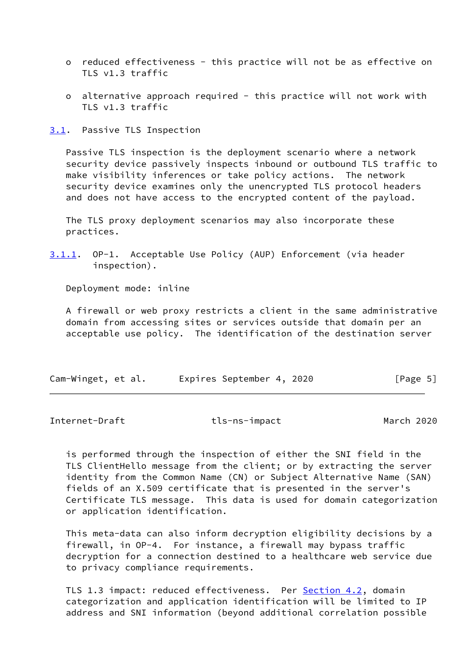- o reduced effectiveness this practice will not be as effective on TLS v1.3 traffic
- o alternative approach required this practice will not work with TLS v1.3 traffic

<span id="page-5-0"></span>[3.1](#page-5-0). Passive TLS Inspection

 Passive TLS inspection is the deployment scenario where a network security device passively inspects inbound or outbound TLS traffic to make visibility inferences or take policy actions. The network security device examines only the unencrypted TLS protocol headers and does not have access to the encrypted content of the payload.

 The TLS proxy deployment scenarios may also incorporate these practices.

<span id="page-5-2"></span>[3.1.1](#page-5-2). OP-1. Acceptable Use Policy (AUP) Enforcement (via header inspection).

Deployment mode: inline

 A firewall or web proxy restricts a client in the same administrative domain from accessing sites or services outside that domain per an acceptable use policy. The identification of the destination server

| Cam-Winget, et al. |  |  | Expires September 4, 2020 |  |  | [Page 5] |
|--------------------|--|--|---------------------------|--|--|----------|
|--------------------|--|--|---------------------------|--|--|----------|

<span id="page-5-1"></span>Internet-Draft tls-ns-impact March 2020

 is performed through the inspection of either the SNI field in the TLS ClientHello message from the client; or by extracting the server identity from the Common Name (CN) or Subject Alternative Name (SAN) fields of an X.509 certificate that is presented in the server's Certificate TLS message. This data is used for domain categorization or application identification.

 This meta-data can also inform decryption eligibility decisions by a firewall, in OP-4. For instance, a firewall may bypass traffic decryption for a connection destined to a healthcare web service due to privacy compliance requirements.

TLS 1.3 impact: reduced effectiveness. Per [Section 4.2,](#page-14-1) domain categorization and application identification will be limited to IP address and SNI information (beyond additional correlation possible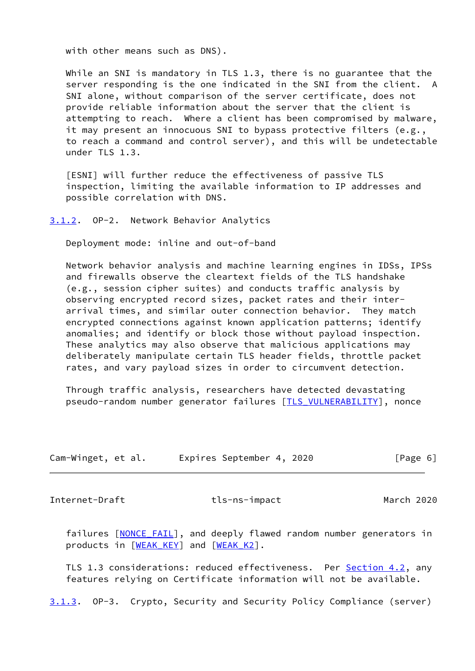with other means such as DNS).

While an SNI is mandatory in TLS 1.3, there is no guarantee that the server responding is the one indicated in the SNI from the client. A SNI alone, without comparison of the server certificate, does not provide reliable information about the server that the client is attempting to reach. Where a client has been compromised by malware, it may present an innocuous SNI to bypass protective filters (e.g., to reach a command and control server), and this will be undetectable under TLS 1.3.

 [ESNI] will further reduce the effectiveness of passive TLS inspection, limiting the available information to IP addresses and possible correlation with DNS.

#### <span id="page-6-0"></span>[3.1.2](#page-6-0). OP-2. Network Behavior Analytics

Deployment mode: inline and out-of-band

 Network behavior analysis and machine learning engines in IDSs, IPSs and firewalls observe the cleartext fields of the TLS handshake (e.g., session cipher suites) and conducts traffic analysis by observing encrypted record sizes, packet rates and their inter arrival times, and similar outer connection behavior. They match encrypted connections against known application patterns; identify anomalies; and identify or block those without payload inspection. These analytics may also observe that malicious applications may deliberately manipulate certain TLS header fields, throttle packet rates, and vary payload sizes in order to circumvent detection.

 Through traffic analysis, researchers have detected devastating pseudo-random number generator failures [\[TLS\\_VULNERABILITY](#page-16-1)], nonce

| Cam-Winget, et al. | Expires September 4, 2020 | [Page 6] |
|--------------------|---------------------------|----------|
|--------------------|---------------------------|----------|

<span id="page-6-1"></span>Internet-Draft tls-ns-impact March 2020

failures [\[NONCE\\_FAIL\]](#page-16-2), and deeply flawed random number generators in products in [\[WEAK\\_KEY](#page-17-0)] and [[WEAK\\_K2\]](#page-16-3).

TLS 1.3 considerations: reduced effectiveness. Per [Section 4.2,](#page-14-1) any features relying on Certificate information will not be available.

<span id="page-6-2"></span>[3.1.3](#page-6-2). OP-3. Crypto, Security and Security Policy Compliance (server)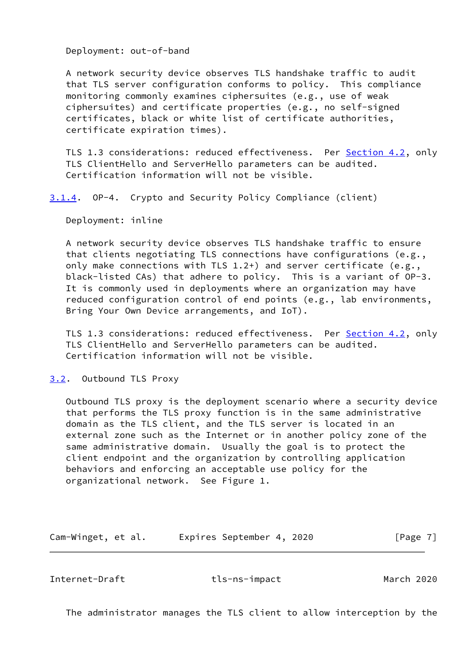Deployment: out-of-band

 A network security device observes TLS handshake traffic to audit that TLS server configuration conforms to policy. This compliance monitoring commonly examines ciphersuites (e.g., use of weak ciphersuites) and certificate properties (e.g., no self-signed certificates, black or white list of certificate authorities, certificate expiration times).

 TLS 1.3 considerations: reduced effectiveness. Per [Section 4.2,](#page-14-1) only TLS ClientHello and ServerHello parameters can be audited. Certification information will not be visible.

<span id="page-7-2"></span>[3.1.4](#page-7-2). OP-4. Crypto and Security Policy Compliance (client)

Deployment: inline

 A network security device observes TLS handshake traffic to ensure that clients negotiating TLS connections have configurations (e.g., only make connections with TLS 1.2+) and server certificate (e.g., black-listed CAs) that adhere to policy. This is a variant of OP-3. It is commonly used in deployments where an organization may have reduced configuration control of end points (e.g., lab environments, Bring Your Own Device arrangements, and IoT).

TLS 1.3 considerations: reduced effectiveness. Per **Section 4.2**, only TLS ClientHello and ServerHello parameters can be audited. Certification information will not be visible.

<span id="page-7-0"></span>[3.2](#page-7-0). Outbound TLS Proxy

 Outbound TLS proxy is the deployment scenario where a security device that performs the TLS proxy function is in the same administrative domain as the TLS client, and the TLS server is located in an external zone such as the Internet or in another policy zone of the same administrative domain. Usually the goal is to protect the client endpoint and the organization by controlling application behaviors and enforcing an acceptable use policy for the organizational network. See Figure 1.

Cam-Winget, et al. Expires September 4, 2020 [Page 7]

<span id="page-7-1"></span>Internet-Draft tls-ns-impact March 2020

The administrator manages the TLS client to allow interception by the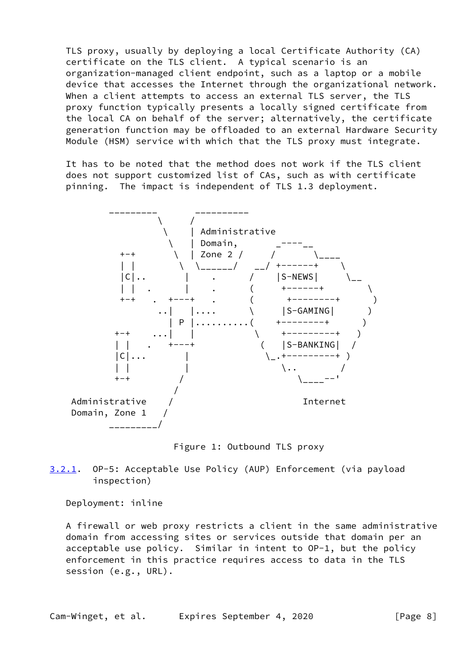TLS proxy, usually by deploying a local Certificate Authority (CA) certificate on the TLS client. A typical scenario is an organization-managed client endpoint, such as a laptop or a mobile device that accesses the Internet through the organizational network. When a client attempts to access an external TLS server, the TLS proxy function typically presents a locally signed certificate from the local CA on behalf of the server; alternatively, the certificate generation function may be offloaded to an external Hardware Security Module (HSM) service with which that the TLS proxy must integrate.

 It has to be noted that the method does not work if the TLS client does not support customized list of CAs, such as with certificate pinning. The impact is independent of TLS 1.3 deployment.



Figure 1: Outbound TLS proxy

<span id="page-8-0"></span>[3.2.1](#page-8-0). OP-5: Acceptable Use Policy (AUP) Enforcement (via payload inspection)

Deployment: inline

 A firewall or web proxy restricts a client in the same administrative domain from accessing sites or services outside that domain per an acceptable use policy. Similar in intent to OP-1, but the policy enforcement in this practice requires access to data in the TLS session (e.g., URL).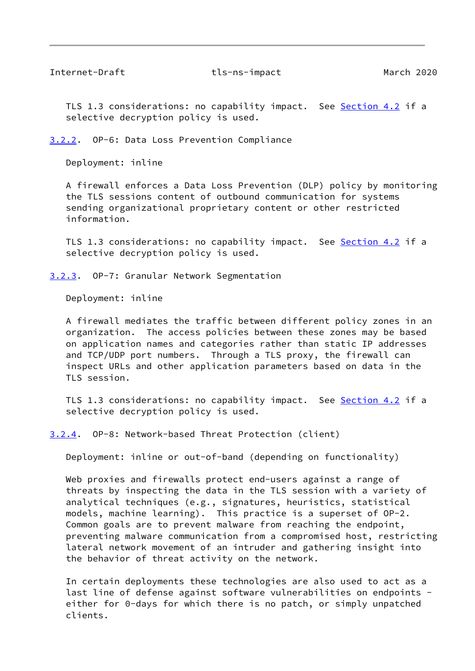<span id="page-9-1"></span>TLS 1.3 considerations: no capability impact. See **[Section 4.2](#page-14-1)** if a selective decryption policy is used.

<span id="page-9-0"></span>[3.2.2](#page-9-0). OP-6: Data Loss Prevention Compliance

Deployment: inline

 A firewall enforces a Data Loss Prevention (DLP) policy by monitoring the TLS sessions content of outbound communication for systems sending organizational proprietary content or other restricted information.

TLS 1.3 considerations: no capability impact. See [Section 4.2](#page-14-1) if a selective decryption policy is used.

#### <span id="page-9-2"></span>[3.2.3](#page-9-2). OP-7: Granular Network Segmentation

Deployment: inline

 A firewall mediates the traffic between different policy zones in an organization. The access policies between these zones may be based on application names and categories rather than static IP addresses and TCP/UDP port numbers. Through a TLS proxy, the firewall can inspect URLs and other application parameters based on data in the TLS session.

TLS 1.3 considerations: no capability impact. See [Section 4.2](#page-14-1) if a selective decryption policy is used.

<span id="page-9-3"></span>[3.2.4](#page-9-3). OP-8: Network-based Threat Protection (client)

Deployment: inline or out-of-band (depending on functionality)

Web proxies and firewalls protect end-users against a range of threats by inspecting the data in the TLS session with a variety of analytical techniques (e.g., signatures, heuristics, statistical models, machine learning). This practice is a superset of OP-2. Common goals are to prevent malware from reaching the endpoint, preventing malware communication from a compromised host, restricting lateral network movement of an intruder and gathering insight into the behavior of threat activity on the network.

 In certain deployments these technologies are also used to act as a last line of defense against software vulnerabilities on endpoints either for 0-days for which there is no patch, or simply unpatched clients.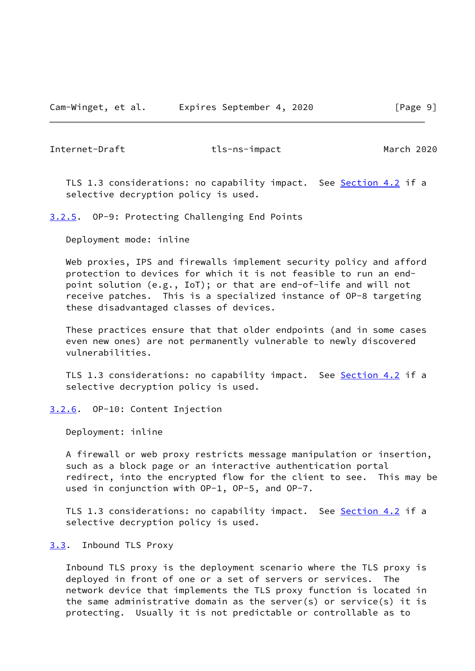<span id="page-10-1"></span>TLS 1.3 considerations: no capability impact. See [Section 4.2](#page-14-1) if a selective decryption policy is used.

<span id="page-10-0"></span>[3.2.5](#page-10-0). OP-9: Protecting Challenging End Points

Deployment mode: inline

 Web proxies, IPS and firewalls implement security policy and afford protection to devices for which it is not feasible to run an end point solution (e.g., IoT); or that are end-of-life and will not receive patches. This is a specialized instance of OP-8 targeting these disadvantaged classes of devices.

 These practices ensure that that older endpoints (and in some cases even new ones) are not permanently vulnerable to newly discovered vulnerabilities.

TLS 1.3 considerations: no capability impact. See [Section 4.2](#page-14-1) if a selective decryption policy is used.

<span id="page-10-2"></span>[3.2.6](#page-10-2). OP-10: Content Injection

Deployment: inline

 A firewall or web proxy restricts message manipulation or insertion, such as a block page or an interactive authentication portal redirect, into the encrypted flow for the client to see. This may be used in conjunction with OP-1, OP-5, and OP-7.

TLS 1.3 considerations: no capability impact. See [Section 4.2](#page-14-1) if a selective decryption policy is used.

#### <span id="page-10-3"></span>[3.3](#page-10-3). Inbound TLS Proxy

 Inbound TLS proxy is the deployment scenario where the TLS proxy is deployed in front of one or a set of servers or services. The network device that implements the TLS proxy function is located in the same administrative domain as the server(s) or service(s) it is protecting. Usually it is not predictable or controllable as to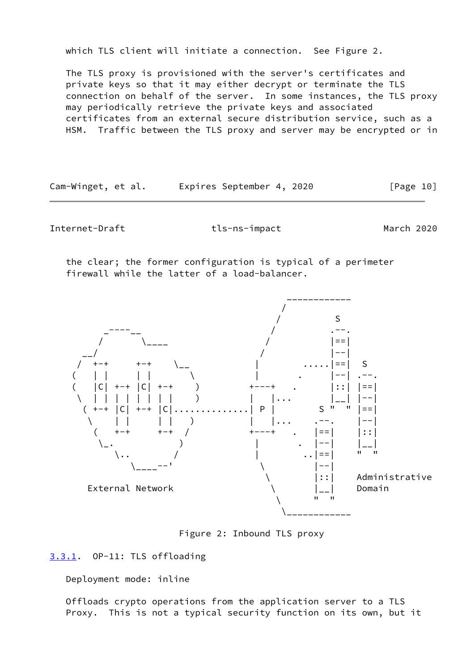which TLS client will initiate a connection. See Figure 2.

 The TLS proxy is provisioned with the server's certificates and private keys so that it may either decrypt or terminate the TLS connection on behalf of the server. In some instances, the TLS proxy may periodically retrieve the private keys and associated certificates from an external secure distribution service, such as a HSM. Traffic between the TLS proxy and server may be encrypted or in

Cam-Winget, et al. Expires September 4, 2020 [Page 10]

<span id="page-11-1"></span>Internet-Draft tls-ns-impact March 2020

 the clear; the former configuration is typical of a perimeter firewall while the latter of a load-balancer.



Figure 2: Inbound TLS proxy

<span id="page-11-0"></span>[3.3.1](#page-11-0). OP-11: TLS offloading

Deployment mode: inline

 Offloads crypto operations from the application server to a TLS Proxy. This is not a typical security function on its own, but it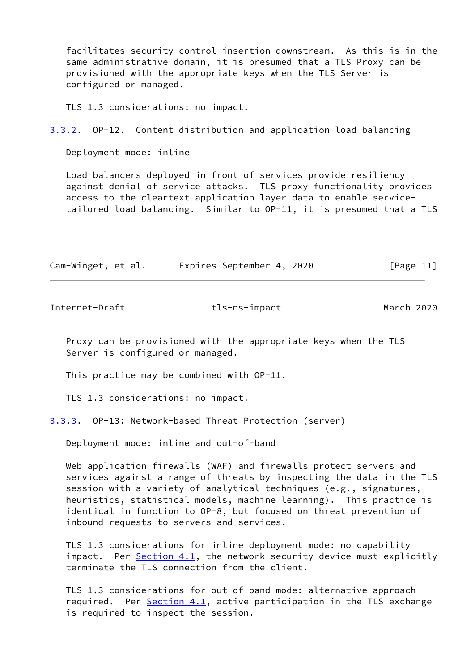facilitates security control insertion downstream. As this is in the same administrative domain, it is presumed that a TLS Proxy can be provisioned with the appropriate keys when the TLS Server is configured or managed.

TLS 1.3 considerations: no impact.

<span id="page-12-2"></span>[3.3.2](#page-12-2). OP-12. Content distribution and application load balancing

Deployment mode: inline

 Load balancers deployed in front of services provide resiliency against denial of service attacks. TLS proxy functionality provides access to the cleartext application layer data to enable service tailored load balancing. Similar to OP-11, it is presumed that a TLS

| Cam-Winget, et al. | Expires September 4, 2020 | [Page 11] |
|--------------------|---------------------------|-----------|
|                    |                           |           |

<span id="page-12-1"></span>Internet-Draft tls-ns-impact March 2020

 Proxy can be provisioned with the appropriate keys when the TLS Server is configured or managed.

This practice may be combined with OP-11.

TLS 1.3 considerations: no impact.

<span id="page-12-0"></span>[3.3.3](#page-12-0). OP-13: Network-based Threat Protection (server)

Deployment mode: inline and out-of-band

 Web application firewalls (WAF) and firewalls protect servers and services against a range of threats by inspecting the data in the TLS session with a variety of analytical techniques (e.g., signatures, heuristics, statistical models, machine learning). This practice is identical in function to OP-8, but focused on threat prevention of inbound requests to servers and services.

 TLS 1.3 considerations for inline deployment mode: no capability impact. Per [Section 4.1](#page-14-0), the network security device must explicitly terminate the TLS connection from the client.

 TLS 1.3 considerations for out-of-band mode: alternative approach required. Per  $Section 4.1$ , active participation in the TLS exchange is required to inspect the session.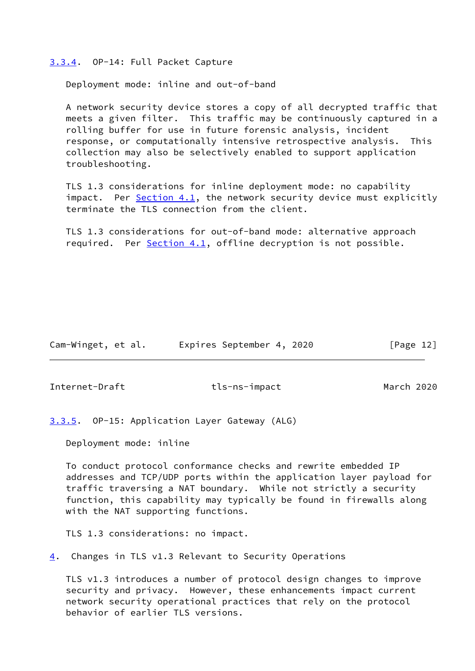#### <span id="page-13-0"></span>[3.3.4](#page-13-0). OP-14: Full Packet Capture

Deployment mode: inline and out-of-band

 A network security device stores a copy of all decrypted traffic that meets a given filter. This traffic may be continuously captured in a rolling buffer for use in future forensic analysis, incident response, or computationally intensive retrospective analysis. This collection may also be selectively enabled to support application troubleshooting.

 TLS 1.3 considerations for inline deployment mode: no capability impact. Per [Section 4.1](#page-14-0), the network security device must explicitly terminate the TLS connection from the client.

 TLS 1.3 considerations for out-of-band mode: alternative approach required. Per [Section 4.1](#page-14-0), offline decryption is not possible.

Cam-Winget, et al. Expires September 4, 2020 [Page 12]

<span id="page-13-2"></span>Internet-Draft tls-ns-impact March 2020

<span id="page-13-1"></span>[3.3.5](#page-13-1). OP-15: Application Layer Gateway (ALG)

Deployment mode: inline

 To conduct protocol conformance checks and rewrite embedded IP addresses and TCP/UDP ports within the application layer payload for traffic traversing a NAT boundary. While not strictly a security function, this capability may typically be found in firewalls along with the NAT supporting functions.

TLS 1.3 considerations: no impact.

<span id="page-13-3"></span>[4](#page-13-3). Changes in TLS v1.3 Relevant to Security Operations

 TLS v1.3 introduces a number of protocol design changes to improve security and privacy. However, these enhancements impact current network security operational practices that rely on the protocol behavior of earlier TLS versions.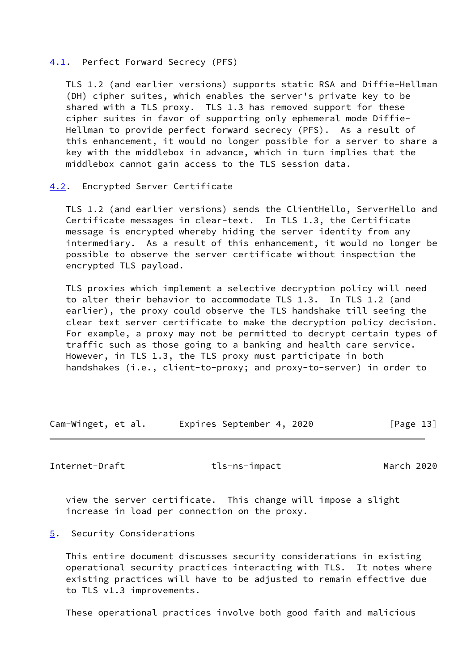#### <span id="page-14-0"></span>[4.1](#page-14-0). Perfect Forward Secrecy (PFS)

 TLS 1.2 (and earlier versions) supports static RSA and Diffie-Hellman (DH) cipher suites, which enables the server's private key to be shared with a TLS proxy. TLS 1.3 has removed support for these cipher suites in favor of supporting only ephemeral mode Diffie- Hellman to provide perfect forward secrecy (PFS). As a result of this enhancement, it would no longer possible for a server to share a key with the middlebox in advance, which in turn implies that the middlebox cannot gain access to the TLS session data.

# <span id="page-14-1"></span>[4.2](#page-14-1). Encrypted Server Certificate

 TLS 1.2 (and earlier versions) sends the ClientHello, ServerHello and Certificate messages in clear-text. In TLS 1.3, the Certificate message is encrypted whereby hiding the server identity from any intermediary. As a result of this enhancement, it would no longer be possible to observe the server certificate without inspection the encrypted TLS payload.

 TLS proxies which implement a selective decryption policy will need to alter their behavior to accommodate TLS 1.3. In TLS 1.2 (and earlier), the proxy could observe the TLS handshake till seeing the clear text server certificate to make the decryption policy decision. For example, a proxy may not be permitted to decrypt certain types of traffic such as those going to a banking and health care service. However, in TLS 1.3, the TLS proxy must participate in both handshakes (i.e., client-to-proxy; and proxy-to-server) in order to

Cam-Winget, et al. Expires September 4, 2020 [Page 13]

<span id="page-14-3"></span>Internet-Draft tls-ns-impact March 2020

 view the server certificate. This change will impose a slight increase in load per connection on the proxy.

### <span id="page-14-2"></span>[5](#page-14-2). Security Considerations

 This entire document discusses security considerations in existing operational security practices interacting with TLS. It notes where existing practices will have to be adjusted to remain effective due to TLS v1.3 improvements.

These operational practices involve both good faith and malicious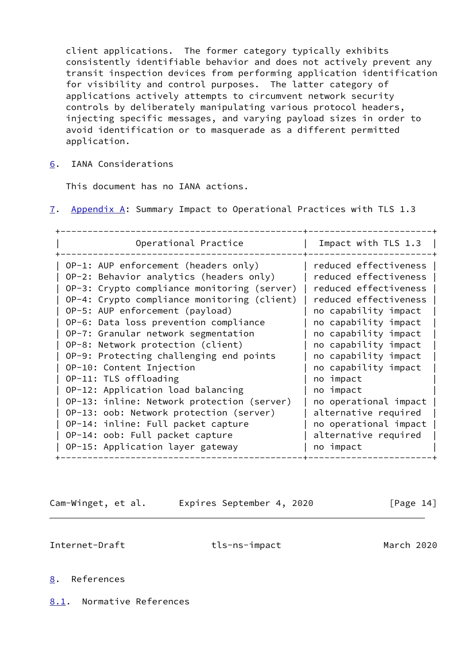client applications. The former category typically exhibits consistently identifiable behavior and does not actively prevent any transit inspection devices from performing application identification for visibility and control purposes. The latter category of applications actively attempts to circumvent network security controls by deliberately manipulating various protocol headers, injecting specific messages, and varying payload sizes in order to avoid identification or to masquerade as a different permitted application.

<span id="page-15-0"></span>[6](#page-15-0). IANA Considerations

This document has no IANA actions.

<span id="page-15-4"></span>[7](#page-15-4). Appendix A: Summary Impact to Operational Practices with TLS 1.3

Cam-Winget, et al. Expires September 4, 2020 [Page 14]

<span id="page-15-2"></span>Internet-Draft tls-ns-impact March 2020

# <span id="page-15-1"></span>[8](#page-15-1). References

<span id="page-15-3"></span>[8.1](#page-15-3). Normative References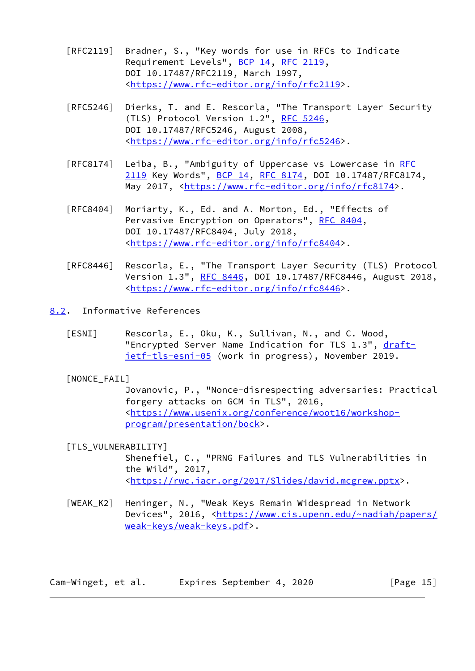- [RFC2119] Bradner, S., "Key words for use in RFCs to Indicate Requirement Levels", [BCP 14](https://datatracker.ietf.org/doc/pdf/bcp14), [RFC 2119](https://datatracker.ietf.org/doc/pdf/rfc2119), DOI 10.17487/RFC2119, March 1997, <[https://www.rfc-editor.org/info/rfc2119>](https://www.rfc-editor.org/info/rfc2119).
- [RFC5246] Dierks, T. and E. Rescorla, "The Transport Layer Security (TLS) Protocol Version 1.2", [RFC 5246](https://datatracker.ietf.org/doc/pdf/rfc5246), DOI 10.17487/RFC5246, August 2008, <[https://www.rfc-editor.org/info/rfc5246>](https://www.rfc-editor.org/info/rfc5246).
- [RFC8174] Leiba, B., "Ambiguity of Uppercase vs Lowercase in [RFC](https://datatracker.ietf.org/doc/pdf/rfc2119) [2119](https://datatracker.ietf.org/doc/pdf/rfc2119) Key Words", [BCP 14](https://datatracker.ietf.org/doc/pdf/bcp14), [RFC 8174,](https://datatracker.ietf.org/doc/pdf/rfc8174) DOI 10.17487/RFC8174, May 2017, [<https://www.rfc-editor.org/info/rfc8174](https://www.rfc-editor.org/info/rfc8174)>.
- [RFC8404] Moriarty, K., Ed. and A. Morton, Ed., "Effects of Pervasive Encryption on Operators", [RFC 8404,](https://datatracker.ietf.org/doc/pdf/rfc8404) DOI 10.17487/RFC8404, July 2018, <[https://www.rfc-editor.org/info/rfc8404>](https://www.rfc-editor.org/info/rfc8404).
- [RFC8446] Rescorla, E., "The Transport Layer Security (TLS) Protocol Version 1.3", [RFC 8446](https://datatracker.ietf.org/doc/pdf/rfc8446), DOI 10.17487/RFC8446, August 2018, <[https://www.rfc-editor.org/info/rfc8446>](https://www.rfc-editor.org/info/rfc8446).
- <span id="page-16-0"></span>[8.2](#page-16-0). Informative References
	- [ESNI] Rescorla, E., Oku, K., Sullivan, N., and C. Wood, "Encrypted Server Name Indication for TLS 1.3", [draft](https://datatracker.ietf.org/doc/pdf/draft-ietf-tls-esni-05) [ietf-tls-esni-05](https://datatracker.ietf.org/doc/pdf/draft-ietf-tls-esni-05) (work in progress), November 2019.
	- [NONCE\_FAIL]

<span id="page-16-2"></span> Jovanovic, P., "Nonce-disrespecting adversaries: Practical forgery attacks on GCM in TLS", 2016, <[https://www.usenix.org/conference/woot16/workshop](https://www.usenix.org/conference/woot16/workshop-program/presentation/bock) [program/presentation/bock>](https://www.usenix.org/conference/woot16/workshop-program/presentation/bock).

<span id="page-16-1"></span>[TLS\_VULNERABILITY]

 Shenefiel, C., "PRNG Failures and TLS Vulnerabilities in the Wild", 2017, <[https://rwc.iacr.org/2017/Slides/david.mcgrew.pptx>](https://rwc.iacr.org/2017/Slides/david.mcgrew.pptx).

<span id="page-16-3"></span> [WEAK\_K2] Heninger, N., "Weak Keys Remain Widespread in Network Devices", 2016, <[https://www.cis.upenn.edu/~nadiah/papers/](https://www.cis.upenn.edu/~nadiah/papers/weak-keys/weak-keys.pdf) [weak-keys/weak-keys.pdf](https://www.cis.upenn.edu/~nadiah/papers/weak-keys/weak-keys.pdf)>.

Cam-Winget, et al. Expires September 4, 2020 [Page 15]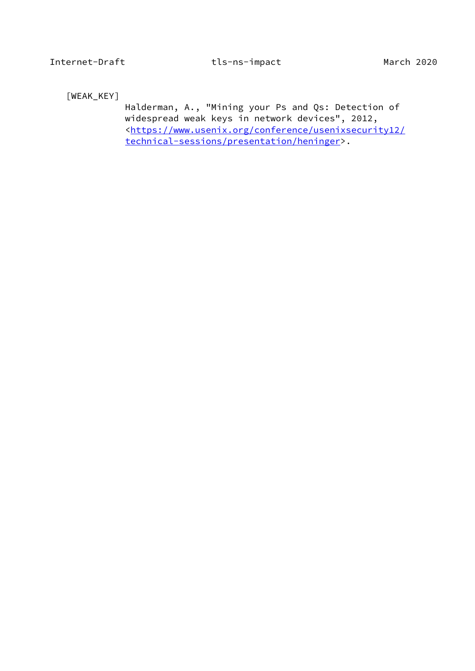<span id="page-17-0"></span>[WEAK\_KEY]

 Halderman, A., "Mining your Ps and Qs: Detection of widespread weak keys in network devices", 2012, <[https://www.usenix.org/conference/usenixsecurity12/](https://www.usenix.org/conference/usenixsecurity12/technical-sessions/presentation/heninger) [technical-sessions/presentation/heninger>](https://www.usenix.org/conference/usenixsecurity12/technical-sessions/presentation/heninger).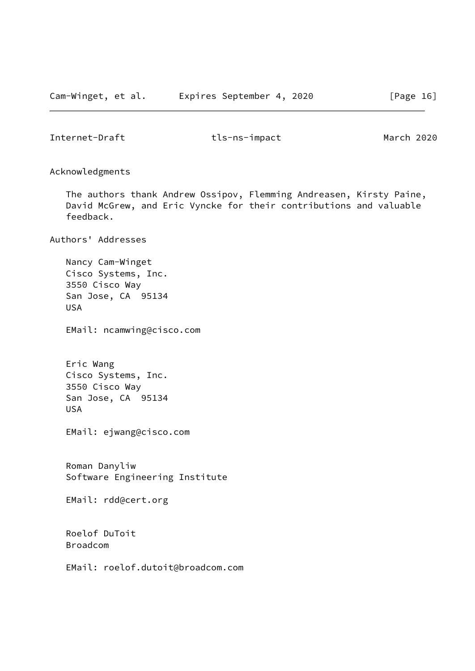<span id="page-18-0"></span>Acknowledgments

 The authors thank Andrew Ossipov, Flemming Andreasen, Kirsty Paine, David McGrew, and Eric Vyncke for their contributions and valuable feedback.

Authors' Addresses

 Nancy Cam-Winget Cisco Systems, Inc. 3550 Cisco Way San Jose, CA 95134 USA

EMail: ncamwing@cisco.com

 Eric Wang Cisco Systems, Inc. 3550 Cisco Way San Jose, CA 95134 USA

EMail: ejwang@cisco.com

 Roman Danyliw Software Engineering Institute

EMail: rdd@cert.org

 Roelof DuToit Broadcom

EMail: roelof.dutoit@broadcom.com